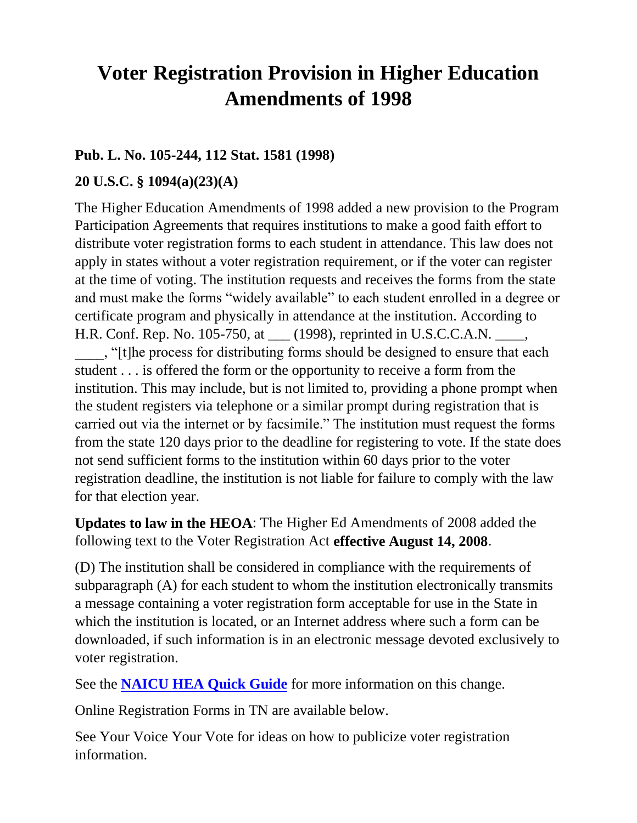## **Voter Registration Provision in Higher Education Amendments of 1998**

### **Pub. L. No. 105-244, 112 Stat. 1581 (1998)**

#### **20 U.S.C. § 1094(a)(23)(A)**

The Higher Education Amendments of 1998 added a new provision to the Program Participation Agreements that requires institutions to make a good faith effort to distribute voter registration forms to each student in attendance. This law does not apply in states without a voter registration requirement, or if the voter can register at the time of voting. The institution requests and receives the forms from the state and must make the forms "widely available" to each student enrolled in a degree or certificate program and physically in attendance at the institution. According to H.R. Conf. Rep. No. 105-750, at \_\_\_ (1998), reprinted in U.S.C.C.A.N. \_\_\_\_,

\_\_\_\_, "[t]he process for distributing forms should be designed to ensure that each student . . . is offered the form or the opportunity to receive a form from the institution. This may include, but is not limited to, providing a phone prompt when the student registers via telephone or a similar prompt during registration that is carried out via the internet or by facsimile." The institution must request the forms from the state 120 days prior to the deadline for registering to vote. If the state does not send sufficient forms to the institution within 60 days prior to the voter registration deadline, the institution is not liable for failure to comply with the law for that election year.

**Updates to law in the HEOA**: The Higher Ed Amendments of 2008 added the following text to the Voter Registration Act **effective August 14, 2008**.

(D) The institution shall be considered in compliance with the requirements of subparagraph (A) for each student to whom the institution electronically transmits a message containing a voter registration form acceptable for use in the State in which the institution is located, or an Internet address where such a form can be downloaded, if such information is in an electronic message devoted exclusively to voter registration.

See the **[NAICU HEA Quick Guide](https://www.naicu.edu/policy-advocacy/key-initiatives/hea-101-a-president-s-quick-guide-to-the-new-law/hea-101-quick-guide)** for more information on this change.

Online Registration Forms in TN are available below.

See Your Voice Your Vote for ideas on how to publicize voter registration information.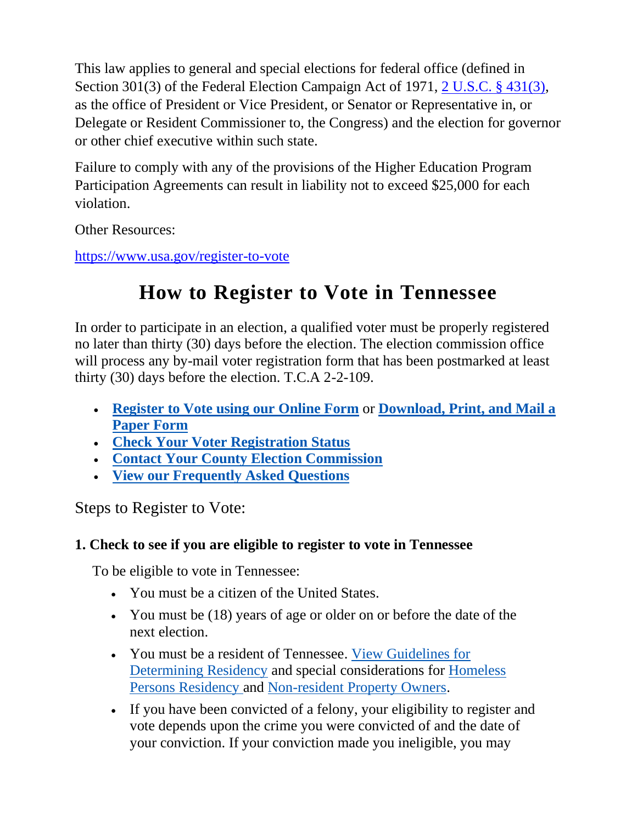This law applies to general and special elections for federal office (defined in Section 301(3) of the Federal Election Campaign Act of 1971, [2 U.S.C. § 431\(3\),](https://www.govinfo.gov/content/pkg/STATUTE-107/pdf/STATUTE-107-Pg77.pdf) as the office of President or Vice President, or Senator or Representative in, or Delegate or Resident Commissioner to, the Congress) and the election for governor or other chief executive within such state.

Failure to comply with any of the provisions of the Higher Education Program Participation Agreements can result in liability not to exceed \$25,000 for each violation.

Other Resources:

<https://www.usa.gov/register-to-vote>

# **How to Register to Vote in Tennessee**

In order to participate in an election, a qualified voter must be properly registered no later than thirty (30) days before the election. The election commission office will process any by-mail voter registration form that has been postmarked at least thirty (30) days before the election. T.C.A 2-2-109.

- **[Register to Vote using our Online Form](https://ovr.govote.tn.gov/)** or **[Download, Print, and Mail a](https://sos.tn.gov/elections/services/register-vote-paper-form-mail-or-hand-deliver)  [Paper Form](https://sos.tn.gov/elections/services/register-vote-paper-form-mail-or-hand-deliver)**
- **[Check Your Voter Registration Status](https://tnmap.tn.gov/voterlookup/)**
- **[Contact Your County Election Commission](https://tnsos.org/elections/election_commissions.php)**
- **[View our Frequently Asked Questions](https://sos.tn.gov/group/4/faqs)**

Steps to Register to Vote:

## **1. Check to see if you are eligible to register to vote in Tennessee**

To be eligible to vote in Tennessee:

- You must be a citizen of the United States.
- You must be (18) years of age or older on or before the date of the next election.
- You must be a resident of Tennessee. View Guidelines for [Determining Residency](https://sos.tn.gov/elections/guides/guidelines-determining-residency) and special considerations for [Homeless](https://sos.tn.gov/elections/faqs/where-do-homeless-persons-register-vote)  [Persons Residency](https://sos.tn.gov/elections/faqs/where-do-homeless-persons-register-vote) and [Non-resident Property Owners.](https://sos.tn.gov/elections/faqs/can-non-resident-property-owners-register-vote)
- If you have been convicted of a felony, your eligibility to register and vote depends upon the crime you were convicted of and the date of your conviction. If your conviction made you ineligible, you may